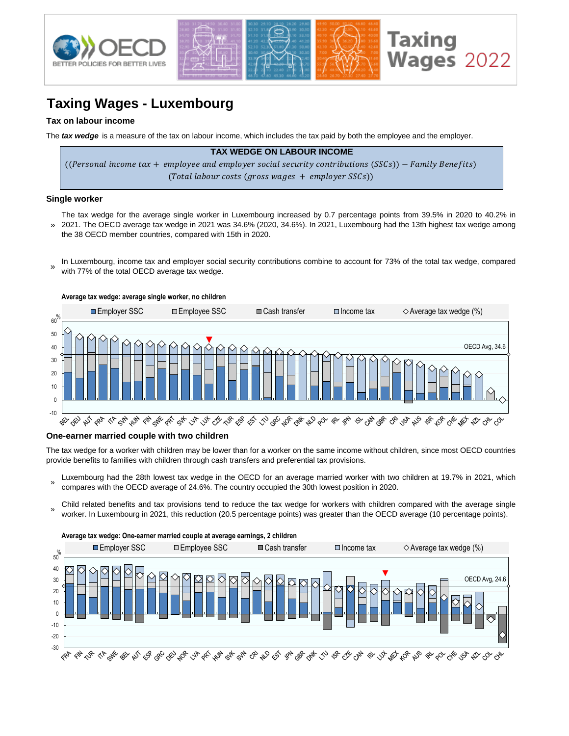

# **Taxing Wages - Luxembourg**

# **Tax on labour income**

The *tax wedge* is a measure of the tax on labour income, which includes the tax paid by both the employee and the employer.

| <b>TAX WEDGE ON LABOUR INCOME</b>                                                                      |
|--------------------------------------------------------------------------------------------------------|
| ((Personal income tax + employee and employer social security contributions (SSCs)) – Family Benefits) |
| $(Total$ labour costs (gross wages + employer SSCs))                                                   |

### **Single worker**

- » The tax wedge for the average single worker in Luxembourg increased by 0.7 percentage points from 39.5% in 2020 to 40.2% in 2021. The OECD average tax wedge in 2021 was 34.6% (2020, 34.6%). In 2021, Luxembourg had the 13th highest tax wedge among the 38 OECD member countries, compared with 15th in 2020.
- In Luxembourg, income tax and employer social security contributions combine to account for 73% of the total tax wedge, compared with 77% of the total OECD average tax wedge. »



# **One-earner married couple with two children**

The tax wedge for a worker with children may be lower than for a worker on the same income without children, since most OECD countries provide benefits to families with children through cash transfers and preferential tax provisions.

- » Luxembourg had the 28th lowest tax wedge in the OECD for an average married worker with two children at 19.7% in 2021, which compares with the OECD average of 24.6%. The country occupied the 30th lowest position in 2020.
- Child related benefits and tax provisions tend to reduce the tax wedge for workers with children compared with the average single worker. In Luxembourg in 2021, this reduction (20.5 percentage points) was greater than the OECD average (10 percentage points).